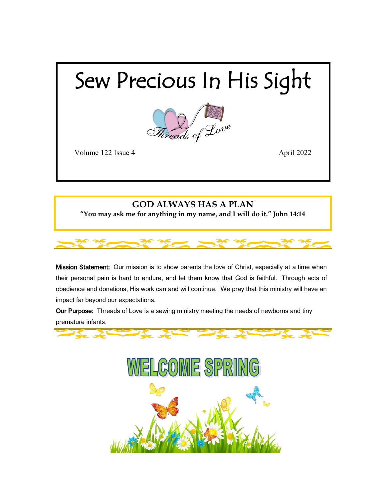## Sew Precious In His Sight



Volume 122 Issue 4 April 2022

## **GOD ALWAYS HAS A PLAN "You may ask me for anything in my name, and I will do it." John 14:14**

Mission Statement: Our mission is to show parents the love of Christ, especially at a time when their personal pain is hard to endure, and let them know that God is faithful. Through acts of obedience and donations, His work can and will continue. We pray that this ministry will have an impact far beyond our expectations.

Our Purpose: Threads of Love is a sewing ministry meeting the needs of newborns and tiny premature infants.



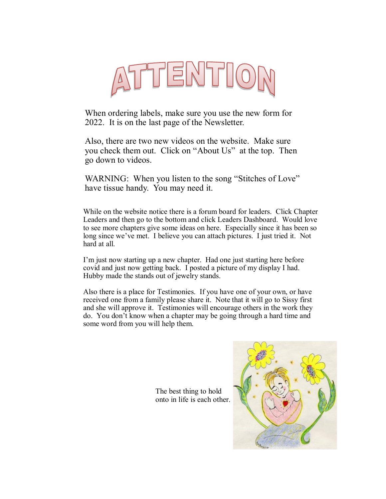

When ordering labels, make sure you use the new form for 2022. It is on the last page of the Newsletter.

Also, there are two new videos on the website. Make sure you check them out. Click on "About Us" at the top. Then go down to videos.

WARNING: When you listen to the song "Stitches of Love" have tissue handy. You may need it.

While on the website notice there is a forum board for leaders. Click Chapter Leaders and then go to the bottom and click Leaders Dashboard. Would love to see more chapters give some ideas on here. Especially since it has been so long since we've met. I believe you can attach pictures. I just tried it. Not hard at all.

I'm just now starting up a new chapter. Had one just starting here before covid and just now getting back. I posted a picture of my display I had. Hubby made the stands out of jewelry stands.

Also there is a place for Testimonies. If you have one of your own, or have received one from a family please share it. Note that it will go to Sissy first and she will approve it. Testimonies will encourage others in the work they do. You don't know when a chapter may be going through a hard time and some word from you will help them.

> The best thing to hold onto in life is each other.

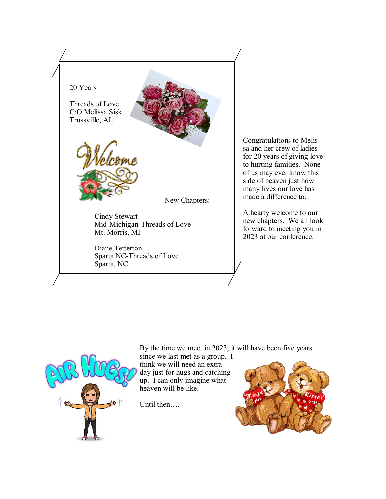

Congratulations to Melissa and her crew of ladies for 20 years of giving love to hurting families. None of us may ever know this side of heaven just how many lives our love has made a difference to.

A hearty welcome to our new chapters. We all look forward to meeting you in 2023 at our conference.

By the time we meet in 2023, it will have been five years

since we last met as a group. I think we will need an extra day just for hugs and catching up. I can only imagine what heaven will be like.

Until then….



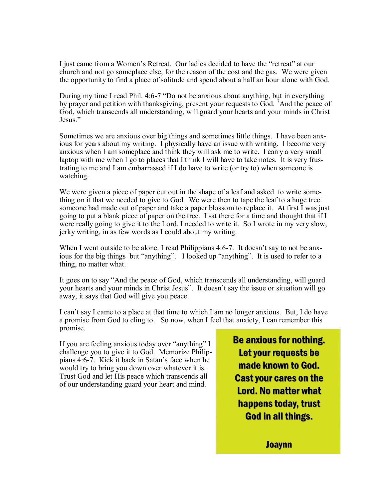I just came from a Women's Retreat. Our ladies decided to have the "retreat" at our church and not go someplace else, for the reason of the cost and the gas. We were given the opportunity to find a place of solitude and spend about a half an hour alone with God.

During my time I read Phil. 4:6-7 "Do not be anxious about anything, but in everything by prayer and petition with thanksgiving, present your requests to God. <sup>7</sup>And the peace of God, which transcends all understanding, will guard your hearts and your minds in Christ Jesus."

Sometimes we are anxious over big things and sometimes little things. I have been anxious for years about my writing. I physically have an issue with writing. I become very anxious when I am someplace and think they will ask me to write. I carry a very small laptop with me when I go to places that I think I will have to take notes. It is very frustrating to me and I am embarrassed if I do have to write (or try to) when someone is watching.

We were given a piece of paper cut out in the shape of a leaf and asked to write something on it that we needed to give to God. We were then to tape the leaf to a huge tree someone had made out of paper and take a paper blossom to replace it. At first I was just going to put a blank piece of paper on the tree. I sat there for a time and thought that if I were really going to give it to the Lord, I needed to write it. So I wrote in my very slow, jerky writing, in as few words as I could about my writing.

When I went outside to be alone. I read Philippians 4:6-7. It doesn't say to not be anxious for the big things but "anything". I looked up "anything". It is used to refer to a thing, no matter what.

It goes on to say "And the peace of God, which transcends all understanding, will guard your hearts and your minds in Christ Jesus". It doesn't say the issue or situation will go away, it says that God will give you peace.

I can't say I came to a place at that time to which I am no longer anxious. But, I do have a promise from God to cling to. So now, when I feel that anxiety, I can remember this promise.

If you are feeling anxious today over "anything" I challenge you to give it to God. Memorize Philippians 4:6-7. Kick it back in Satan's face when he would try to bring you down over whatever it is. Trust God and let His peace which transcends all of our understanding guard your heart and mind.

**Be anxious for nothing.** Let your requests be made known to God. **Cast your cares on the Lord. No matter what** happens today, trust **God in all things.** 

**Joaynn**